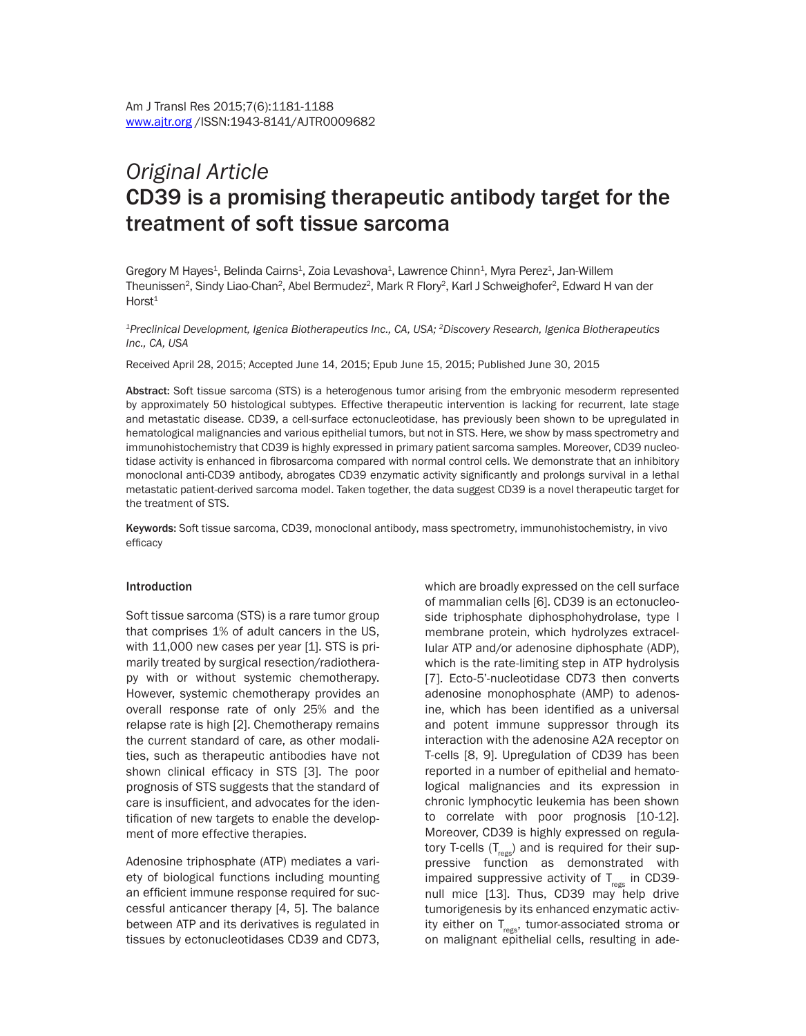# *Original Article* CD39 is a promising therapeutic antibody target for the treatment of soft tissue sarcoma

Gregory M Hayes<sup>1</sup>, Belinda Cairns<sup>1</sup>, Zoia Levashova<sup>1</sup>, Lawrence Chinn<sup>1</sup>, Myra Perez<sup>1</sup>, Jan-Willem Theunissen<sup>2</sup>, Sindy Liao-Chan<sup>2</sup>, Abel Bermudez<sup>2</sup>, Mark R Flory<sup>2</sup>, Karl J Schweighofer<sup>2</sup>, Edward H van der  $Horst<sup>1</sup>$ 

*1Preclinical Development, Igenica Biotherapeutics Inc., CA, USA; 2Discovery Research, Igenica Biotherapeutics Inc., CA, USA*

Received April 28, 2015; Accepted June 14, 2015; Epub June 15, 2015; Published June 30, 2015

Abstract: Soft tissue sarcoma (STS) is a heterogenous tumor arising from the embryonic mesoderm represented by approximately 50 histological subtypes. Effective therapeutic intervention is lacking for recurrent, late stage and metastatic disease. CD39, a cell-surface ectonucleotidase, has previously been shown to be upregulated in hematological malignancies and various epithelial tumors, but not in STS. Here, we show by mass spectrometry and immunohistochemistry that CD39 is highly expressed in primary patient sarcoma samples. Moreover, CD39 nucleotidase activity is enhanced in fibrosarcoma compared with normal control cells. We demonstrate that an inhibitory monoclonal anti-CD39 antibody, abrogates CD39 enzymatic activity significantly and prolongs survival in a lethal metastatic patient-derived sarcoma model. Taken together, the data suggest CD39 is a novel therapeutic target for the treatment of STS.

Keywords: Soft tissue sarcoma, CD39, monoclonal antibody, mass spectrometry, immunohistochemistry, in vivo efficacy

#### Introduction

Soft tissue sarcoma (STS) is a rare tumor group that comprises 1% of adult cancers in the US, with 11,000 new cases per year [1]. STS is primarily treated by surgical resection/radiotherapy with or without systemic chemotherapy. However, systemic chemotherapy provides an overall response rate of only 25% and the relapse rate is high [2]. Chemotherapy remains the current standard of care, as other modalities, such as therapeutic antibodies have not shown clinical efficacy in STS [3]. The poor prognosis of STS suggests that the standard of care is insufficient, and advocates for the identification of new targets to enable the development of more effective therapies.

Adenosine triphosphate (ATP) mediates a variety of biological functions including mounting an efficient immune response required for successful anticancer therapy [4, 5]. The balance between ATP and its derivatives is regulated in tissues by ectonucleotidases CD39 and CD73,

which are broadly expressed on the cell surface of mammalian cells [6]. CD39 is an ectonucleoside triphosphate diphosphohydrolase, type I membrane protein, which hydrolyzes extracellular ATP and/or adenosine diphosphate (ADP), which is the rate-limiting step in ATP hydrolysis [7]. Ecto-5'-nucleotidase CD73 then converts adenosine monophosphate (AMP) to adenosine, which has been identified as a universal and potent immune suppressor through its interaction with the adenosine A2A receptor on T-cells [8, 9]. Upregulation of CD39 has been reported in a number of epithelial and hematological malignancies and its expression in chronic lymphocytic leukemia has been shown to correlate with poor prognosis [10-12]. Moreover, CD39 is highly expressed on regulatory T-cells  $(T_{regs})$  and is required for their suppressive function as demonstrated with impaired suppressive activity of  $T_{regs}$  in CD39null mice [13]. Thus, CD39 may help drive tumorigenesis by its enhanced enzymatic activity either on  $T_{res}$ , tumor-associated stroma or on malignant epithelial cells, resulting in ade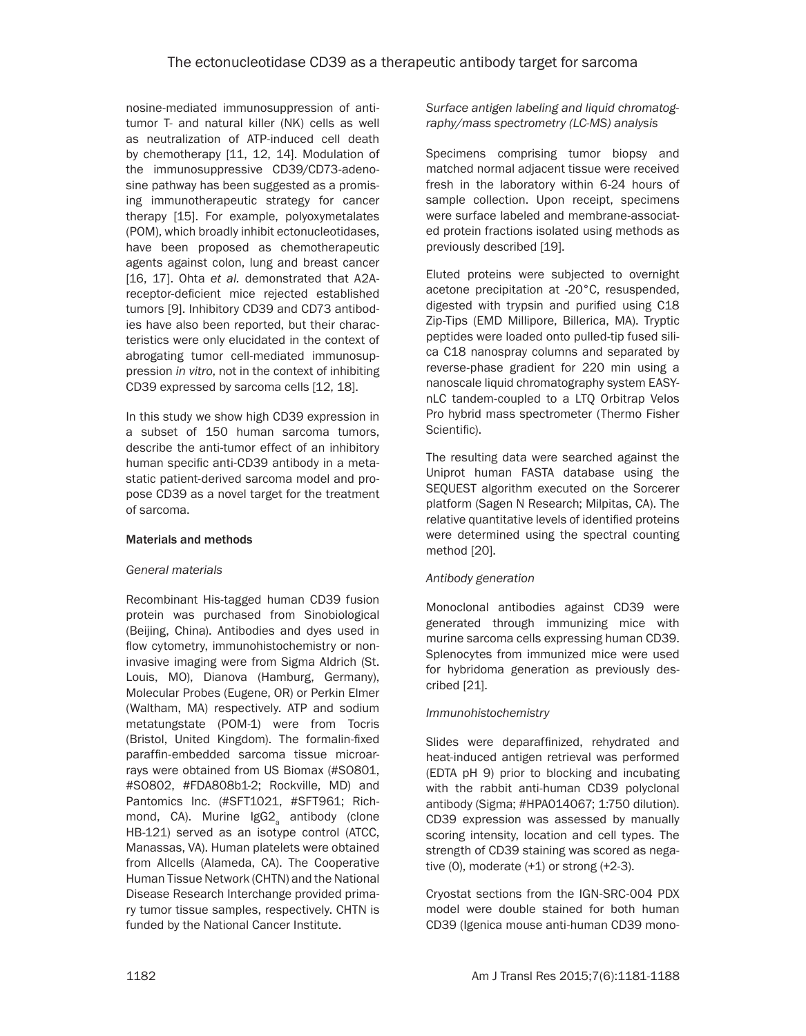nosine-mediated immunosuppression of antitumor T- and natural killer (NK) cells as well as neutralization of ATP-induced cell death by chemotherapy [11, 12, 14]. Modulation of the immunosuppressive CD39/CD73-adenosine pathway has been suggested as a promising immunotherapeutic strategy for cancer therapy [15]. For example, polyoxymetalates (POM), which broadly inhibit ectonucleotidases, have been proposed as chemotherapeutic agents against colon, lung and breast cancer [16, 17]. Ohta *et al.* demonstrated that A2Areceptor-deficient mice rejected established tumors [9]. Inhibitory CD39 and CD73 antibodies have also been reported, but their characteristics were only elucidated in the context of abrogating tumor cell-mediated immunosuppression *in vitro*, not in the context of inhibiting CD39 expressed by sarcoma cells [12, 18].

In this study we show high CD39 expression in a subset of 150 human sarcoma tumors, describe the anti-tumor effect of an inhibitory human specific anti-CD39 antibody in a metastatic patient-derived sarcoma model and propose CD39 as a novel target for the treatment of sarcoma.

## Materials and methods

## *General materials*

Recombinant His-tagged human CD39 fusion protein was purchased from Sinobiological (Beijing, China). Antibodies and dyes used in flow cytometry, immunohistochemistry or noninvasive imaging were from Sigma Aldrich (St. Louis, MO), Dianova (Hamburg, Germany), Molecular Probes (Eugene, OR) or Perkin Elmer (Waltham, MA) respectively. ATP and sodium metatungstate (POM-1) were from Tocris (Bristol, United Kingdom). The formalin-fixed paraffin-embedded sarcoma tissue microarrays were obtained from US Biomax (#SO801, #SO802, #FDA808b1-2; Rockville, MD) and Pantomics Inc. (#SFT1021, #SFT961; Richmond, CA). Murine IgG2<sub>a</sub> antibody (clone HB-121) served as an isotype control (ATCC, Manassas, VA). Human platelets were obtained from Allcells (Alameda, CA). The Cooperative Human Tissue Network (CHTN) and the National Disease Research Interchange provided primary tumor tissue samples, respectively. CHTN is funded by the National Cancer Institute.

*Surface antigen labeling and liquid chromatography/mass spectrometry (LC-MS) analysis*

Specimens comprising tumor biopsy and matched normal adjacent tissue were received fresh in the laboratory within 6-24 hours of sample collection. Upon receipt, specimens were surface labeled and membrane-associated protein fractions isolated using methods as previously described [19].

Eluted proteins were subjected to overnight acetone precipitation at -20°C, resuspended, digested with trypsin and purified using C18 Zip-Tips (EMD Millipore, Billerica, MA). Tryptic peptides were loaded onto pulled-tip fused silica C18 nanospray columns and separated by reverse-phase gradient for 220 min using a nanoscale liquid chromatography system EASYnLC tandem-coupled to a LTQ Orbitrap Velos Pro hybrid mass spectrometer (Thermo Fisher Scientific).

The resulting data were searched against the Uniprot human FASTA database using the SEQUEST algorithm executed on the Sorcerer platform (Sagen N Research; Milpitas, CA). The relative quantitative levels of identified proteins were determined using the spectral counting method [20].

## *Antibody generation*

Monoclonal antibodies against CD39 were generated through immunizing mice with murine sarcoma cells expressing human CD39. Splenocytes from immunized mice were used for hybridoma generation as previously described [21].

## *Immunohistochemistry*

Slides were deparaffinized, rehydrated and heat-induced antigen retrieval was performed (EDTA pH 9) prior to blocking and incubating with the rabbit anti-human CD39 polyclonal antibody (Sigma; #HPA014067; 1:750 dilution). CD39 expression was assessed by manually scoring intensity, location and cell types. The strength of CD39 staining was scored as negative  $(0)$ , moderate  $(+1)$  or strong  $(+2-3)$ .

Cryostat sections from the IGN-SRC-004 PDX model were double stained for both human CD39 (Igenica mouse anti-human CD39 mono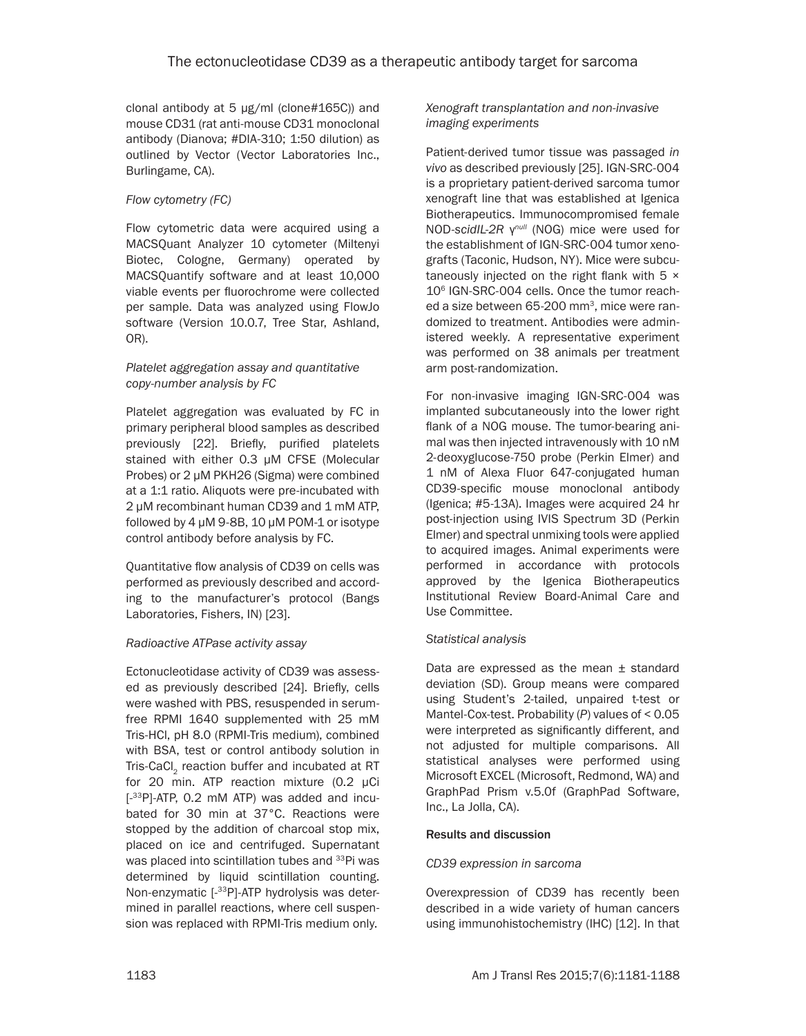clonal antibody at 5 μg/ml (clone#165C)) and mouse CD31 (rat anti-mouse CD31 monoclonal antibody (Dianova; #DIA-310; 1:50 dilution) as outlined by Vector (Vector Laboratories Inc., Burlingame, CA).

# *Flow cytometry (FC)*

Flow cytometric data were acquired using a MACSQuant Analyzer 10 cytometer (Miltenyi Biotec, Cologne, Germany) operated by MACSQuantify software and at least 10,000 viable events per fluorochrome were collected per sample. Data was analyzed using FlowJo software (Version 10.0.7, Tree Star, Ashland, OR).

#### *Platelet aggregation assay and quantitative copy-number analysis by FC*

Platelet aggregation was evaluated by FC in primary peripheral blood samples as described previously [22]. Briefly, purified platelets stained with either 0.3 μM CFSE (Molecular Probes) or 2 μM PKH26 (Sigma) were combined at a 1:1 ratio. Aliquots were pre-incubated with 2 μM recombinant human CD39 and 1 mM ATP, followed by 4 μM 9-8B, 10 μM POM-1 or isotype control antibody before analysis by FC.

Quantitative flow analysis of CD39 on cells was performed as previously described and according to the manufacturer's protocol (Bangs Laboratories, Fishers, IN) [23].

## *Radioactive ATPase activity assay*

Ectonucleotidase activity of CD39 was assessed as previously described [24]. Briefly, cells were washed with PBS, resuspended in serumfree RPMI 1640 supplemented with 25 mM Tris-HCl, pH 8.0 (RPMI-Tris medium), combined with BSA, test or control antibody solution in Tris-CaCl<sub>2</sub> reaction buffer and incubated at RT for 20 min. ATP reaction mixture (0.2 μCi [-33P]-ATP, 0.2 mM ATP) was added and incubated for 30 min at 37°C. Reactions were stopped by the addition of charcoal stop mix, placed on ice and centrifuged. Supernatant was placed into scintillation tubes and <sup>33</sup>Pi was determined by liquid scintillation counting. Non-enzymatic [-33P]-ATP hydrolysis was determined in parallel reactions, where cell suspension was replaced with RPMI-Tris medium only.

*Xenograft transplantation and non-invasive imaging experiments*

Patient-derived tumor tissue was passaged *in vivo* as described previously [25]. IGN-SRC-004 is a proprietary patient-derived sarcoma tumor xenograft line that was established at Igenica Biotherapeutics. Immunocompromised female NOD-*scidIL-2R* γ*null* (NOG) mice were used for the establishment of IGN-SRC-004 tumor xenografts (Taconic, Hudson, NY). Mice were subcutaneously injected on the right flank with 5 × 106 IGN-SRC-004 cells. Once the tumor reached a size between 65-200 mm<sup>3</sup>, mice were randomized to treatment. Antibodies were administered weekly. A representative experiment was performed on 38 animals per treatment arm post-randomization.

For non-invasive imaging IGN-SRC-004 was implanted subcutaneously into the lower right flank of a NOG mouse. The tumor-bearing animal was then injected intravenously with 10 nM 2-deoxyglucose-750 probe (Perkin Elmer) and 1 nM of Alexa Fluor 647-conjugated human CD39-specific mouse monoclonal antibody (Igenica; #5-13A). Images were acquired 24 hr post-injection using IVIS Spectrum 3D (Perkin Elmer) and spectral unmixing tools were applied to acquired images. Animal experiments were performed in accordance with protocols approved by the Igenica Biotherapeutics Institutional Review Board-Animal Care and Use Committee.

## *Statistical analysis*

Data are expressed as the mean ± standard deviation (SD). Group means were compared using Student's 2-tailed, unpaired t-test or Mantel-Cox-test. Probability (*P*) values of < 0.05 were interpreted as significantly different, and not adjusted for multiple comparisons. All statistical analyses were performed using Microsoft EXCEL (Microsoft, Redmond, WA) and GraphPad Prism v.5.0f (GraphPad Software, Inc., La Jolla, CA).

## Results and discussion

#### *CD39 expression in sarcoma*

Overexpression of CD39 has recently been described in a wide variety of human cancers using immunohistochemistry (IHC) [12]. In that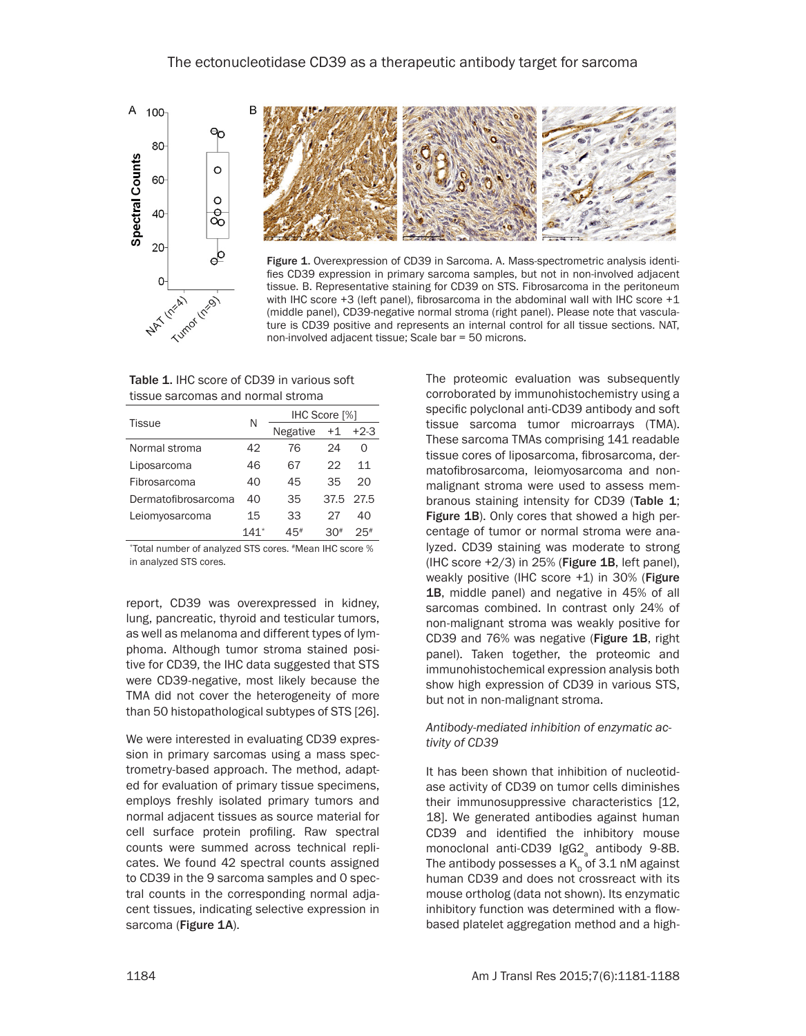



Figure 1. Overexpression of CD39 in Sarcoma. A. Mass-spectrometric analysis identifies CD39 expression in primary sarcoma samples, but not in non-involved adjacent tissue. B. Representative staining for CD39 on STS. Fibrosarcoma in the peritoneum with IHC score +3 (left panel), fibrosarcoma in the abdominal wall with IHC score +1 (middle panel), CD39-negative normal stroma (right panel). Please note that vasculature is CD39 positive and represents an internal control for all tissue sections. NAT, non-involved adjacent tissue; Scale bar = 50 microns.

Table 1. IHC score of CD39 in various soft tissue sarcomas and normal stroma

| <b>Tissue</b>       | N      | IHC Score [%] |      |                   |
|---------------------|--------|---------------|------|-------------------|
|                     |        | Negative      | $+1$ | $+2-3$            |
| Normal stroma       | 42     | 76            | 24   | $\mathbf{\Omega}$ |
| Liposarcoma         | 46     | 67            | クク   | 11                |
| Fibrosarcoma        | 40     | 45            | 35   | 20                |
| Dermatofibrosarcoma | 40     | 35            |      | 37.5 27.5         |
| Leiomyosarcoma      | 15     | 33            | 27   | 40                |
|                     | $141*$ | 45#           | ?∩#  | 25#               |

\*Total number of analyzed STS cores. #Mean IHC score % in analyzed STS cores.

report, CD39 was overexpressed in kidney, lung, pancreatic, thyroid and testicular tumors, as well as melanoma and different types of lymphoma. Although tumor stroma stained positive for CD39, the IHC data suggested that STS were CD39-negative, most likely because the TMA did not cover the heterogeneity of more than 50 histopathological subtypes of STS [26].

We were interested in evaluating CD39 expression in primary sarcomas using a mass spectrometry-based approach. The method, adapted for evaluation of primary tissue specimens, employs freshly isolated primary tumors and normal adjacent tissues as source material for cell surface protein profiling. Raw spectral counts were summed across technical replicates. We found 42 spectral counts assigned to CD39 in the 9 sarcoma samples and 0 spectral counts in the corresponding normal adjacent tissues, indicating selective expression in sarcoma (Figure 1A).

The proteomic evaluation was subsequently corroborated by immunohistochemistry using a specific polyclonal anti-CD39 antibody and soft tissue sarcoma tumor microarrays (TMA). These sarcoma TMAs comprising 141 readable tissue cores of liposarcoma, fibrosarcoma, dermatofibrosarcoma, leiomyosarcoma and nonmalignant stroma were used to assess membranous staining intensity for CD39 (Table 1; Figure 1B). Only cores that showed a high percentage of tumor or normal stroma were analyzed. CD39 staining was moderate to strong (IHC score  $+2/3$ ) in 25% (Figure 1B, left panel), weakly positive (IHC score +1) in 30% (Figure 1B, middle panel) and negative in 45% of all sarcomas combined. In contrast only 24% of non-malignant stroma was weakly positive for CD39 and 76% was negative (Figure 1B, right panel). Taken together, the proteomic and immunohistochemical expression analysis both show high expression of CD39 in various STS, but not in non-malignant stroma.

#### *Antibody-mediated inhibition of enzymatic activity of CD39*

It has been shown that inhibition of nucleotidase activity of CD39 on tumor cells diminishes their immunosuppressive characteristics [12, 18]. We generated antibodies against human CD39 and identified the inhibitory mouse monoclonal anti-CD39  $\text{IGG2}_a$  antibody 9-8B. The antibody possesses a  $K_p$  of 3.1 nM against human CD39 and does not crossreact with its mouse ortholog (data not shown). Its enzymatic inhibitory function was determined with a flowbased platelet aggregation method and a high-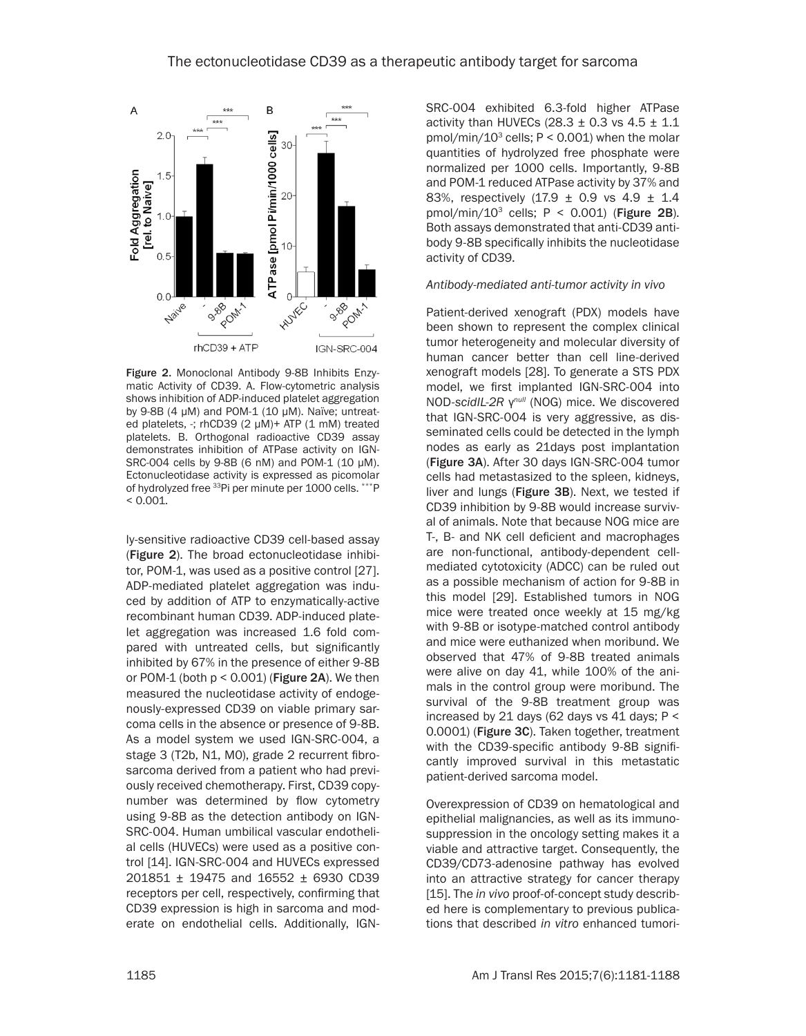

Figure 2. Monoclonal Antibody 9-8B Inhibits Enzymatic Activity of CD39. A. Flow-cytometric analysis shows inhibition of ADP-induced platelet aggregation by 9-8B (4 μM) and POM-1 (10 μM). Naïve; untreated platelets, -; rhCD39 (2 μM)+ ATP (1 mM) treated platelets. B. Orthogonal radioactive CD39 assay demonstrates inhibition of ATPase activity on IGN-SRC-004 cells by 9-8B (6 nM) and POM-1 (10 μM). Ectonucleotidase activity is expressed as picomolar of hydrolyzed free 33Pi per minute per 1000 cells. \*\*\*P  $< 0.001$ .

ly-sensitive radioactive CD39 cell-based assay (Figure 2). The broad ectonucleotidase inhibitor, POM-1, was used as a positive control [27]. ADP-mediated platelet aggregation was induced by addition of ATP to enzymatically-active recombinant human CD39. ADP-induced platelet aggregation was increased 1.6 fold compared with untreated cells, but significantly inhibited by 67% in the presence of either 9-8B or POM-1 (both  $p < 0.001$ ) (Figure 2A). We then measured the nucleotidase activity of endogenously-expressed CD39 on viable primary sarcoma cells in the absence or presence of 9-8B. As a model system we used IGN-SRC-004, a stage 3 (T2b, N1, M0), grade 2 recurrent fibrosarcoma derived from a patient who had previously received chemotherapy. First, CD39 copynumber was determined by flow cytometry using 9-8B as the detection antibody on IGN-SRC-004. Human umbilical vascular endothelial cells (HUVECs) were used as a positive control [14]. IGN-SRC-004 and HUVECs expressed 201851 ± 19475 and 16552 ± 6930 CD39 receptors per cell, respectively, confirming that CD39 expression is high in sarcoma and moderate on endothelial cells. Additionally, IGN- SRC-004 exhibited 6.3-fold higher ATPase activity than HUVECs  $(28.3 \pm 0.3 \text{ vs } 4.5 \pm 1.1$  $pmol/min/10<sup>3</sup>$  cells; P < 0.001) when the molar quantities of hydrolyzed free phosphate were normalized per 1000 cells. Importantly, 9-8B and POM-1 reduced ATPase activity by 37% and 83%, respectively (17.9 ± 0.9 vs 4.9 ± 1.4 pmol/min/10<sup>3</sup> cells;  $P < 0.001$ ) (Figure 2B). Both assays demonstrated that anti-CD39 antibody 9-8B specifically inhibits the nucleotidase activity of CD39.

#### *Antibody-mediated anti-tumor activity in vivo*

Patient-derived xenograft (PDX) models have been shown to represent the complex clinical tumor heterogeneity and molecular diversity of human cancer better than cell line-derived xenograft models [28]. To generate a STS PDX model, we first implanted IGN-SRC-004 into NOD-*scidIL-2R* γ*null* (NOG) mice. We discovered that IGN-SRC-004 is very aggressive, as disseminated cells could be detected in the lymph nodes as early as 21days post implantation (Figure 3A). After 30 days IGN-SRC-004 tumor cells had metastasized to the spleen, kidneys, liver and lungs (Figure 3B). Next, we tested if CD39 inhibition by 9-8B would increase survival of animals. Note that because NOG mice are T-, B- and NK cell deficient and macrophages are non-functional, antibody-dependent cellmediated cytotoxicity (ADCC) can be ruled out as a possible mechanism of action for 9-8B in this model [29]. Established tumors in NOG mice were treated once weekly at 15 mg/kg with 9-8B or isotype-matched control antibody and mice were euthanized when moribund. We observed that 47% of 9-8B treated animals were alive on day 41, while 100% of the animals in the control group were moribund. The survival of the 9-8B treatment group was increased by 21 days (62 days vs 41 days; P < 0.0001) (Figure 3C). Taken together, treatment with the CD39-specific antibody 9-8B significantly improved survival in this metastatic patient-derived sarcoma model.

Overexpression of CD39 on hematological and epithelial malignancies, as well as its immunosuppression in the oncology setting makes it a viable and attractive target. Consequently, the CD39/CD73-adenosine pathway has evolved into an attractive strategy for cancer therapy [15]. The *in vivo* proof-of-concept study described here is complementary to previous publications that described *in vitro* enhanced tumori-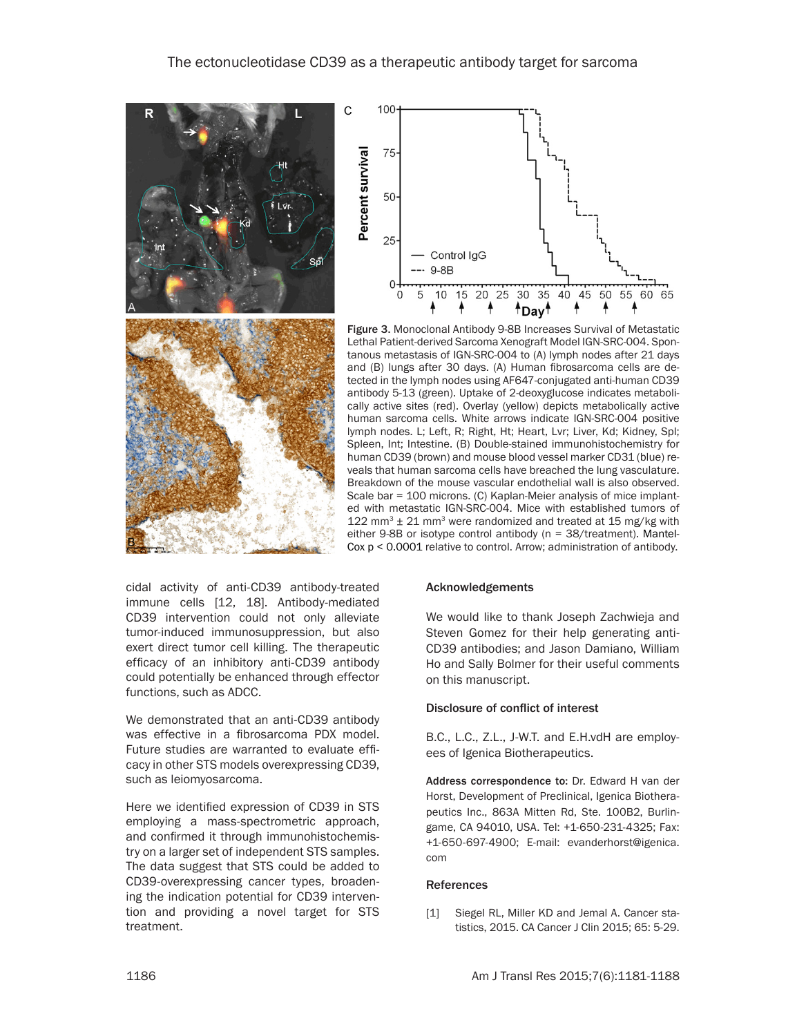



Figure 3. Monoclonal Antibody 9-8B Increases Survival of Metastatic Lethal Patient-derived Sarcoma Xenograft Model IGN-SRC-004. Spontanous metastasis of IGN-SRC-004 to (A) lymph nodes after 21 days and (B) lungs after 30 days. (A) Human fibrosarcoma cells are detected in the lymph nodes using AF647-conjugated anti-human CD39 antibody 5-13 (green). Uptake of 2-deoxyglucose indicates metabolically active sites (red). Overlay (yellow) depicts metabolically active human sarcoma cells. White arrows indicate IGN-SRC-004 positive lymph nodes. L; Left, R; Right, Ht; Heart, Lvr; Liver, Kd; Kidney, Spl; Spleen, Int; Intestine. (B) Double-stained immunohistochemistry for human CD39 (brown) and mouse blood vessel marker CD31 (blue) reveals that human sarcoma cells have breached the lung vasculature. Breakdown of the mouse vascular endothelial wall is also observed. Scale bar = 100 microns. (C) Kaplan-Meier analysis of mice implanted with metastatic IGN-SRC-004. Mice with established tumors of 122 mm<sup>3</sup>  $\pm$  21 mm<sup>3</sup> were randomized and treated at 15 mg/kg with either 9-8B or isotype control antibody ( $n = 38$ /treatment). Mantel-Cox p < 0.0001 relative to control. Arrow; administration of antibody.

cidal activity of anti-CD39 antibody-treated immune cells [12, 18]. Antibody-mediated CD39 intervention could not only alleviate tumor-induced immunosuppression, but also exert direct tumor cell killing. The therapeutic efficacy of an inhibitory anti-CD39 antibody could potentially be enhanced through effector functions, such as ADCC.

We demonstrated that an anti-CD39 antibody was effective in a fibrosarcoma PDX model. Future studies are warranted to evaluate efficacy in other STS models overexpressing CD39, such as leiomyosarcoma.

Here we identified expression of CD39 in STS employing a mass-spectrometric approach, and confirmed it through immunohistochemistry on a larger set of independent STS samples. The data suggest that STS could be added to CD39-overexpressing cancer types, broadening the indication potential for CD39 intervention and providing a novel target for STS treatment.

#### Acknowledgements

We would like to thank Joseph Zachwieja and Steven Gomez for their help generating anti-CD39 antibodies; and Jason Damiano, William Ho and Sally Bolmer for their useful comments on this manuscript.

#### Disclosure of conflict of interest

B.C., L.C., Z.L., J-W.T. and E.H.vdH are employees of Igenica Biotherapeutics.

Address correspondence to: Dr. Edward H van der Horst, Development of Preclinical, Igenica Biotherapeutics Inc., 863A Mitten Rd, Ste. 100B2, Burlingame, CA 94010, USA. Tel: +1-650-231-4325; Fax: +1-650-697-4900; E-mail: [evanderhorst@igenica.](mailto:evanderhorst@igenica.com) [com](mailto:evanderhorst@igenica.com)

#### References

[1] Siegel RL, Miller KD and Jemal A. Cancer statistics, 2015. CA Cancer J Clin 2015; 65: 5-29.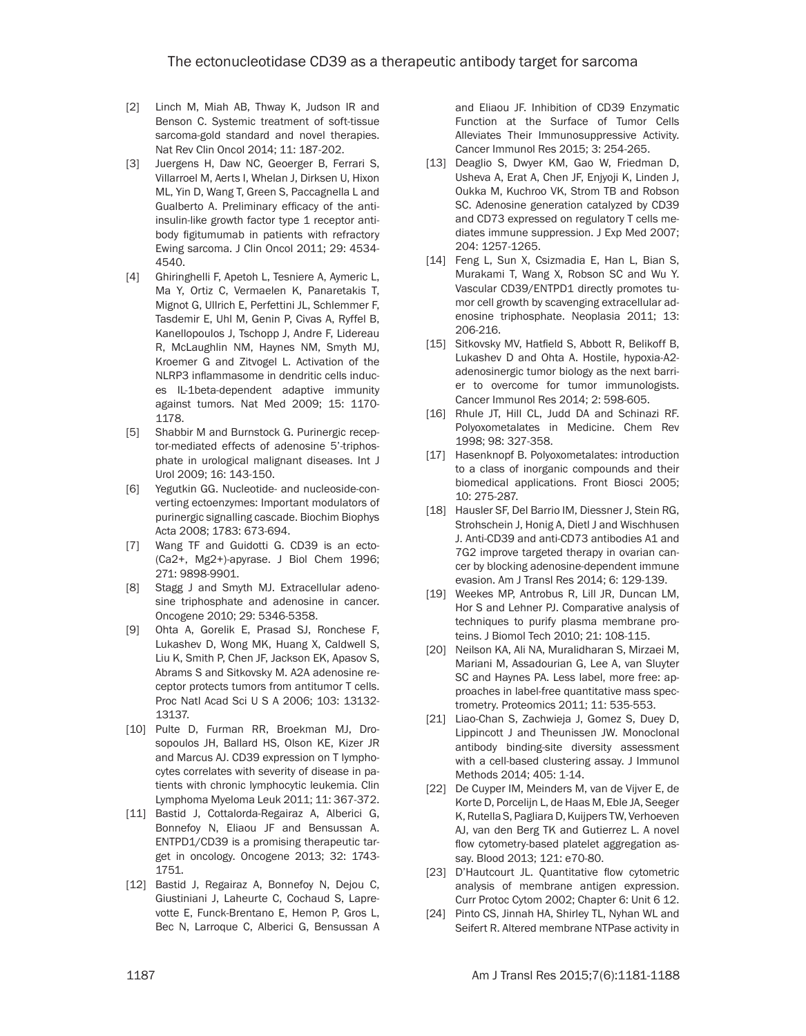- [2] Linch M, Miah AB, Thway K, Judson IR and Benson C. Systemic treatment of soft-tissue sarcoma-gold standard and novel therapies. Nat Rev Clin Oncol 2014; 11: 187-202.
- [3] Juergens H, Daw NC, Geoerger B, Ferrari S, Villarroel M, Aerts I, Whelan J, Dirksen U, Hixon ML, Yin D, Wang T, Green S, Paccagnella L and Gualberto A. Preliminary efficacy of the antiinsulin-like growth factor type 1 receptor antibody figitumumab in patients with refractory Ewing sarcoma. J Clin Oncol 2011; 29: 4534- 4540.
- [4] Ghiringhelli F, Apetoh L, Tesniere A, Aymeric L, Ma Y, Ortiz C, Vermaelen K, Panaretakis T, Mignot G, Ullrich E, Perfettini JL, Schlemmer F, Tasdemir E, Uhl M, Genin P, Civas A, Ryffel B, Kanellopoulos J, Tschopp J, Andre F, Lidereau R, McLaughlin NM, Haynes NM, Smyth MJ, Kroemer G and Zitvogel L. Activation of the NLRP3 inflammasome in dendritic cells induces IL-1beta-dependent adaptive immunity against tumors. Nat Med 2009; 15: 1170- 1178.
- [5] Shabbir M and Burnstock G. Purinergic receptor-mediated effects of adenosine 5'-triphosphate in urological malignant diseases. Int J Urol 2009; 16: 143-150.
- [6] Yegutkin GG. Nucleotide- and nucleoside-converting ectoenzymes: Important modulators of purinergic signalling cascade. Biochim Biophys Acta 2008; 1783: 673-694.
- [7] Wang TF and Guidotti G. CD39 is an ecto-(Ca2+, Mg2+)-apyrase. J Biol Chem 1996; 271: 9898-9901.
- [8] Stagg J and Smyth MJ. Extracellular adenosine triphosphate and adenosine in cancer. Oncogene 2010; 29: 5346-5358.
- [9] Ohta A, Gorelik E, Prasad SJ, Ronchese F, Lukashev D, Wong MK, Huang X, Caldwell S, Liu K, Smith P, Chen JF, Jackson EK, Apasov S, Abrams S and Sitkovsky M. A2A adenosine receptor protects tumors from antitumor T cells. Proc Natl Acad Sci U S A 2006; 103: 13132- 13137.
- [10] Pulte D, Furman RR, Broekman MJ, Drosopoulos JH, Ballard HS, Olson KE, Kizer JR and Marcus AJ. CD39 expression on T lymphocytes correlates with severity of disease in patients with chronic lymphocytic leukemia. Clin Lymphoma Myeloma Leuk 2011; 11: 367-372.
- [11] Bastid J, Cottalorda-Regairaz A, Alberici G, Bonnefoy N, Eliaou JF and Bensussan A. ENTPD1/CD39 is a promising therapeutic target in oncology. Oncogene 2013; 32: 1743- 1751.
- [12] Bastid J, Regairaz A, Bonnefoy N, Dejou C, Giustiniani J, Laheurte C, Cochaud S, Laprevotte E, Funck-Brentano E, Hemon P, Gros L, Bec N, Larroque C, Alberici G, Bensussan A

and Eliaou JF. Inhibition of CD39 Enzymatic Function at the Surface of Tumor Cells Alleviates Their Immunosuppressive Activity. Cancer Immunol Res 2015; 3: 254-265.

- [13] Deaglio S, Dwyer KM, Gao W, Friedman D, Usheva A, Erat A, Chen JF, Enjyoji K, Linden J, Oukka M, Kuchroo VK, Strom TB and Robson SC. Adenosine generation catalyzed by CD39 and CD73 expressed on regulatory T cells mediates immune suppression. J Exp Med 2007; 204: 1257-1265.
- [14] Feng L, Sun X, Csizmadia E, Han L, Bian S, Murakami T, Wang X, Robson SC and Wu Y. Vascular CD39/ENTPD1 directly promotes tumor cell growth by scavenging extracellular adenosine triphosphate. Neoplasia 2011; 13: 206-216.
- [15] Sitkovsky MV, Hatfield S, Abbott R, Belikoff B, Lukashev D and Ohta A. Hostile, hypoxia-A2 adenosinergic tumor biology as the next barrier to overcome for tumor immunologists. Cancer Immunol Res 2014; 2: 598-605.
- [16] Rhule JT, Hill CL, Judd DA and Schinazi RF. Polyoxometalates in Medicine. Chem Rev 1998; 98: 327-358.
- [17] Hasenknopf B. Polyoxometalates: introduction to a class of inorganic compounds and their biomedical applications. Front Biosci 2005; 10: 275-287.
- [18] Hausler SF, Del Barrio IM, Diessner J, Stein RG, Strohschein J, Honig A, Dietl J and Wischhusen J. Anti-CD39 and anti-CD73 antibodies A1 and 7G2 improve targeted therapy in ovarian cancer by blocking adenosine-dependent immune evasion. Am J Transl Res 2014; 6: 129-139.
- [19] Weekes MP, Antrobus R, Lill JR, Duncan LM, Hor S and Lehner PJ. Comparative analysis of techniques to purify plasma membrane proteins. J Biomol Tech 2010; 21: 108-115.
- [20] Neilson KA, Ali NA, Muralidharan S, Mirzaei M, Mariani M, Assadourian G, Lee A, van Sluyter SC and Haynes PA. Less label, more free: approaches in label-free quantitative mass spectrometry. Proteomics 2011; 11: 535-553.
- [21] Liao-Chan S, Zachwieja J, Gomez S, Duey D, Lippincott J and Theunissen JW. Monoclonal antibody binding-site diversity assessment with a cell-based clustering assay. J Immunol Methods 2014; 405: 1-14.
- [22] De Cuyper IM, Meinders M, van de Vijver E, de Korte D, Porcelijn L, de Haas M, Eble JA, Seeger K, Rutella S, Pagliara D, Kuijpers TW, Verhoeven AJ, van den Berg TK and Gutierrez L. A novel flow cytometry-based platelet aggregation assay. Blood 2013; 121: e70-80.
- [23] D'Hautcourt JL. Quantitative flow cytometric analysis of membrane antigen expression. Curr Protoc Cytom 2002; Chapter 6: Unit 6 12.
- [24] Pinto CS, Jinnah HA, Shirley TL, Nyhan WL and Seifert R. Altered membrane NTPase activity in